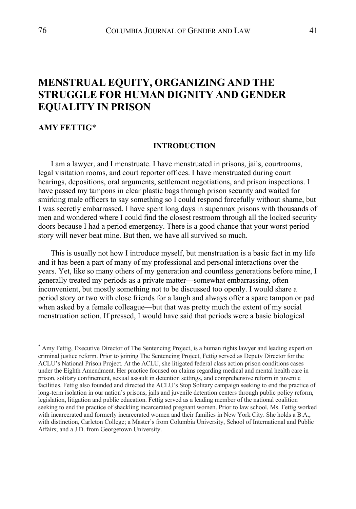# **MENSTRUAL EQUITY, ORGANIZING AND THE STRUGGLE FOR HUMAN DIGNITY AND GENDER EQUALITY IN PRISON**

## **AMY FETTIG**\*

### **INTRODUCTION**

I am a lawyer, and I menstruate. I have menstruated in prisons, jails, courtrooms, legal visitation rooms, and court reporter offices. I have menstruated during court hearings, depositions, oral arguments, settlement negotiations, and prison inspections. I have passed my tampons in clear plastic bags through prison security and waited for smirking male officers to say something so I could respond forcefully without shame, but I was secretly embarrassed. I have spent long days in supermax prisons with thousands of men and wondered where I could find the closest restroom through all the locked security doors because I had a period emergency. There is a good chance that your worst period story will never beat mine. But then, we have all survived so much.

This is usually not how I introduce myself, but menstruation is a basic fact in my life and it has been a part of many of my professional and personal interactions over the years. Yet, like so many others of my generation and countless generations before mine, I generally treated my periods as a private matter—somewhat embarrassing, often inconvenient, but mostly something not to be discussed too openly. I would share a period story or two with close friends for a laugh and always offer a spare tampon or pad when asked by a female colleague—but that was pretty much the extent of my social menstruation action. If pressed, I would have said that periods were a basic biological

<sup>\*</sup> Amy Fettig, Executive Director of The Sentencing Project, is a human rights lawyer and leading expert on criminal justice reform. Prior to joining The Sentencing Project, Fettig served as Deputy Director for the ACLU's National Prison Project. At the ACLU, she litigated federal class action prison conditions cases under the Eighth Amendment. Her practice focused on claims regarding medical and mental health care in prison, solitary confinement, sexual assault in detention settings, and comprehensive reform in juvenile facilities. Fettig also founded and directed the ACLU's Stop Solitary campaign seeking to end the practice of long-term isolation in our nation's prisons, jails and juvenile detention centers through public policy reform, legislation, litigation and public education. Fettig served as a leading member of the national coalition seeking to end the practice of shackling incarcerated pregnant women. Prior to law school, Ms. Fettig worked with incarcerated and formerly incarcerated women and their families in New York City. She holds a B.A., with distinction, Carleton College; a Master's from Columbia University, School of International and Public Affairs; and a J.D. from Georgetown University.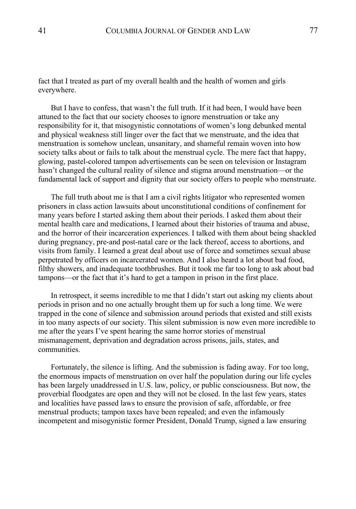fact that I treated as part of my overall health and the health of women and girls everywhere.

But I have to confess, that wasn't the full truth. If it had been, I would have been attuned to the fact that our society chooses to ignore menstruation or take any responsibility for it, that misogynistic connotations of women's long debunked mental and physical weakness still linger over the fact that we menstruate, and the idea that menstruation is somehow unclean, unsanitary, and shameful remain woven into how society talks about or fails to talk about the menstrual cycle. The mere fact that happy, glowing, pastel-colored tampon advertisements can be seen on television or Instagram hasn't changed the cultural reality of silence and stigma around menstruation—or the fundamental lack of support and dignity that our society offers to people who menstruate.

The full truth about me is that I am a civil rights litigator who represented women prisoners in class action lawsuits about unconstitutional conditions of confinement for many years before I started asking them about their periods. I asked them about their mental health care and medications, I learned about their histories of trauma and abuse, and the horror of their incarceration experiences. I talked with them about being shackled during pregnancy, pre-and post-natal care or the lack thereof, access to abortions, and visits from family. I learned a great deal about use of force and sometimes sexual abuse perpetrated by officers on incarcerated women. And I also heard a lot about bad food, filthy showers, and inadequate toothbrushes. But it took me far too long to ask about bad tampons—or the fact that it's hard to get a tampon in prison in the first place.

In retrospect, it seems incredible to me that I didn't start out asking my clients about periods in prison and no one actually brought them up for such a long time. We were trapped in the cone of silence and submission around periods that existed and still exists in too many aspects of our society. This silent submission is now even more incredible to me after the years I've spent hearing the same horror stories of menstrual mismanagement, deprivation and degradation across prisons, jails, states, and communities.

Fortunately, the silence is lifting. And the submission is fading away. For too long, the enormous impacts of menstruation on over half the population during our life cycles has been largely unaddressed in U.S. law, policy, or public consciousness. But now, the proverbial floodgates are open and they will not be closed. In the last few years, states and localities have passed laws to ensure the provision of safe, affordable, or free menstrual products; tampon taxes have been repealed; and even the infamously incompetent and misogynistic former President, Donald Trump, signed a law ensuring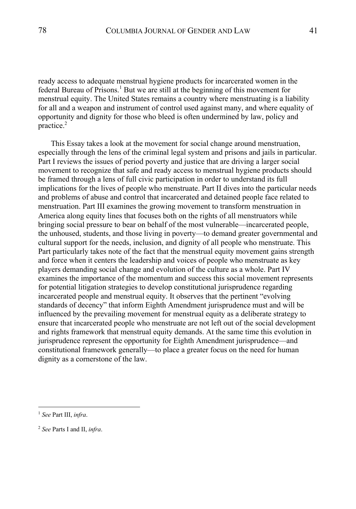ready access to adequate menstrual hygiene products for incarcerated women in the federal Bureau of Prisons.<sup>1</sup> But we are still at the beginning of this movement for menstrual equity. The United States remains a country where menstruating is a liability for all and a weapon and instrument of control used against many, and where equality of opportunity and dignity for those who bleed is often undermined by law, policy and practice.2

This Essay takes a look at the movement for social change around menstruation, especially through the lens of the criminal legal system and prisons and jails in particular. Part I reviews the issues of period poverty and justice that are driving a larger social movement to recognize that safe and ready access to menstrual hygiene products should be framed through a lens of full civic participation in order to understand its full implications for the lives of people who menstruate. Part II dives into the particular needs and problems of abuse and control that incarcerated and detained people face related to menstruation. Part III examines the growing movement to transform menstruation in America along equity lines that focuses both on the rights of all menstruators while bringing social pressure to bear on behalf of the most vulnerable—incarcerated people, the unhoused, students, and those living in poverty—to demand greater governmental and cultural support for the needs, inclusion, and dignity of all people who menstruate. This Part particularly takes note of the fact that the menstrual equity movement gains strength and force when it centers the leadership and voices of people who menstruate as key players demanding social change and evolution of the culture as a whole. Part IV examines the importance of the momentum and success this social movement represents for potential litigation strategies to develop constitutional jurisprudence regarding incarcerated people and menstrual equity. It observes that the pertinent "evolving standards of decency" that inform Eighth Amendment jurisprudence must and will be influenced by the prevailing movement for menstrual equity as a deliberate strategy to ensure that incarcerated people who menstruate are not left out of the social development and rights framework that menstrual equity demands. At the same time this evolution in jurisprudence represent the opportunity for Eighth Amendment jurisprudence—and constitutional framework generally—to place a greater focus on the need for human dignity as a cornerstone of the law.

<sup>1</sup> *See* Part III, *infra*.

<sup>2</sup> *See* Parts I and II, *infra*.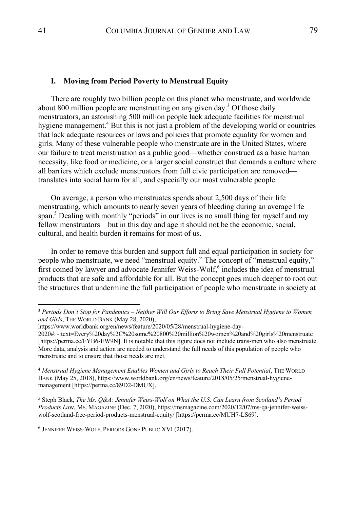#### **I. Moving from Period Poverty to Menstrual Equity**

There are roughly two billion people on this planet who menstruate, and worldwide about 800 million people are menstruating on any given day.<sup>3</sup> Of those daily menstruators, an astonishing 500 million people lack adequate facilities for menstrual hygiene management.<sup>4</sup> But this is not just a problem of the developing world or countries that lack adequate resources or laws and policies that promote equality for women and girls. Many of these vulnerable people who menstruate are in the United States, where our failure to treat menstruation as a public good—whether construed as a basic human necessity, like food or medicine, or a larger social construct that demands a culture where all barriers which exclude menstruators from full civic participation are removed translates into social harm for all, and especially our most vulnerable people.

On average, a person who menstruates spends about 2,500 days of their life menstruating, which amounts to nearly seven years of bleeding during an average life span.<sup>5</sup> Dealing with monthly "periods" in our lives is no small thing for myself and my fellow menstruators—but in this day and age it should not be the economic, social, cultural, and health burden it remains for most of us.

In order to remove this burden and support full and equal participation in society for people who menstruate, we need "menstrual equity." The concept of "menstrual equity," first coined by lawyer and advocate Jennifer Weiss-Wolf, $6$  includes the idea of menstrual products that are safe and affordable for all. But the concept goes much deeper to root out the structures that undermine the full participation of people who menstruate in society at

<sup>5</sup> Steph Black, *The Ms. Q&A: Jennifer Weiss-Wolf on What the U.S. Can Learn from Scotland's Period Products La*w, MS. MAGAZINE (Dec. 7, 2020), https://msmagazine.com/2020/12/07/ms-qa-jennifer-weisswolf-scotland-free-period-products-menstrual-equity/ [https://perma.cc/MUH7-LS69].

<sup>6</sup> JENNIFER WEISS-WOLF, PERIODS GONE PUBLIC XVI (2017).

<sup>3</sup> *Periods Don't Stop for Pandemics – Neither Will Our Efforts to Bring Save Menstrual Hygiene to Women and Girls*, THE WORLD BANK (May 28, 2020),

https://www.worldbank.org/en/news/feature/2020/05/28/menstrual-hygiene-day-

<sup>2020#:~:</sup>text=Every%20day%2C%20some%20800%20million%20women%20and%20girls%20menstruate [https://perma.cc/FYB6-EW9N]. It is notable that this figure does not include trans-men who also menstruate. More data, analysis and action are needed to understand the full needs of this population of people who menstruate and to ensure that those needs are met.

<sup>4</sup> *Menstrual Hygiene Management Enables Women and Girls to Reach Their Full Potential*, THE WORLD BANK (May 25, 2018), https://www.worldbank.org/en/news/feature/2018/05/25/menstrual-hygienemanagement [https://perma.cc/89D2-DMUX].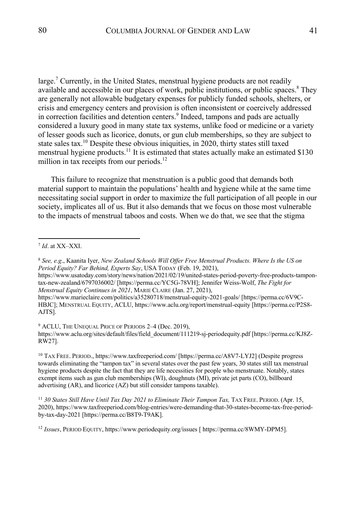large.<sup>7</sup> Currently, in the United States, menstrual hygiene products are not readily available and accessible in our places of work, public institutions, or public spaces. $8$  They are generally not allowable budgetary expenses for publicly funded schools, shelters, or crisis and emergency centers and provision is often inconsistent or coercively addressed in correction facilities and detention centers.<sup>9</sup> Indeed, tampons and pads are actually considered a luxury good in many state tax systems, unlike food or medicine or a variety of lesser goods such as licorice, donuts, or gun club memberships, so they are subject to state sales tax.<sup>10</sup> Despite these obvious iniquities, in 2020, thirty states still taxed menstrual hygiene products.<sup>11</sup> It is estimated that states actually make an estimated \$130 million in tax receipts from our periods.<sup>12</sup>

This failure to recognize that menstruation is a public good that demands both material support to maintain the populations' health and hygiene while at the same time necessitating social support in order to maximize the full participation of all people in our society, implicates all of us. But it also demands that we focus on those most vulnerable to the impacts of menstrual taboos and costs. When we do that, we see that the stigma

https://www.usatoday.com/story/news/nation/2021/02/19/united-states-period-poverty-free-products-tampontax-new-zealand/6797036002/ [https://perma.cc/YC5G-78VH]; Jennifer Weiss-Wolf, *The Fight for Menstrual Equity Continues in 2021*, MARIE CLAIRE (Jan. 27, 2021),

https://www.marieclaire.com/politics/a35280718/menstrual-equity-2021-goals/ [https://perma.cc/6V9C-HBJC]; MENSTRUAL EQUITY, ACLU, https://www.aclu.org/report/menstrual-equity [https://perma.cc/P2S8- AJTS].

<sup>9</sup> ACLU, THE UNEQUAL PRICE OF PERIODS 2-4 (Dec. 2019),

https://www.aclu.org/sites/default/files/field\_document/111219-sj-periodequity.pdf [https://perma.cc/KJ8Z-RW27].

<sup>10</sup> TAX FREE. PERIOD., https://www.taxfreeperiod.com/ [https://perma.cc/A8V7-LYJ2] (Despite progress towards eliminating the "tampon tax" in several states over the past few years, 30 states still tax menstrual hygiene products despite the fact that they are life necessities for people who menstruate. Notably, states exempt items such as gun club memberships (WI), doughnuts (MI), private jet parts (CO), billboard advertising (AR), and licorice (AZ) but still consider tampons taxable).

<sup>11</sup> 30 States Still Have Until Tax Day 2021 to Eliminate Their Tampon Tax, TAX FREE. PERIOD. (Apr. 15, 2020), https://www.taxfreeperiod.com/blog-entries/were-demanding-that-30-states-become-tax-free-periodby-tax-day-2021 [https://perma.cc/B8T9-T9AK].

<sup>12</sup> *Issues*, PERIOD EQUITY, https://www.periodequity.org/issues [ https://perma.cc/8WMY-DPM5].

<sup>7</sup> *Id*. at XX–XXI.

<sup>8</sup> *See, e.g*., Kaanita Iyer, *New Zealand Schools Will Offer Free Menstrual Products. Where Is the US on Period Equity? Far Behind, Experts Say*, USA TODAY (Feb. 19, 2021),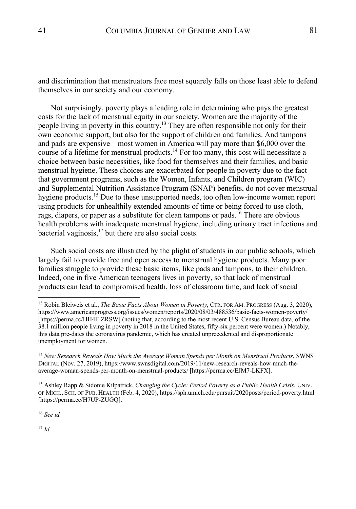and discrimination that menstruators face most squarely falls on those least able to defend themselves in our society and our economy.

Not surprisingly, poverty plays a leading role in determining who pays the greatest costs for the lack of menstrual equity in our society. Women are the majority of the people living in poverty in this country.13 They are often responsible not only for their own economic support, but also for the support of children and families. And tampons and pads are expensive—most women in America will pay more than \$6,000 over the course of a lifetime for menstrual products.<sup>14</sup> For too many, this cost will necessitate a choice between basic necessities, like food for themselves and their families, and basic menstrual hygiene. These choices are exacerbated for people in poverty due to the fact that government programs, such as the Women, Infants, and Children program (WIC) and Supplemental Nutrition Assistance Program (SNAP) benefits, do not cover menstrual hygiene products.<sup>15</sup> Due to these unsupported needs, too often low-income women report using products for unhealthily extended amounts of time or being forced to use cloth, rags, diapers, or paper as a substitute for clean tampons or pads.<sup>16</sup> There are obvious health problems with inadequate menstrual hygiene, including urinary tract infections and bacterial vaginosis,  $17$  but there are also social costs.

Such social costs are illustrated by the plight of students in our public schools, which largely fail to provide free and open access to menstrual hygiene products. Many poor families struggle to provide these basic items, like pads and tampons, to their children. Indeed, one in five American teenagers lives in poverty, so that lack of menstrual products can lead to compromised health, loss of classroom time, and lack of social

<sup>16</sup> *See id.*

<sup>17</sup> *Id.*

<sup>13</sup> Robin Bleiweis et al., *The Basic Facts About Women in Poverty*, CTR. FOR AM. PROGRESS (Aug. 3, 2020), https://www.americanprogress.org/issues/women/reports/2020/08/03/488536/basic-facts-women-poverty/ [https://perma.cc/HH4F-ZRSW] (noting that, according to the most recent U.S. Census Bureau data, of the 38.1 million people living in poverty in 2018 in the United States, fifty-six percent were women.) Notably, this data pre-dates the coronavirus pandemic, which has created unprecedented and disproportionate unemployment for women.

<sup>14</sup> *New Research Reveals How Much the Average Woman Spends per Month on Menstrual Products*, SWNS DIGITAL (Nov. 27, 2019), https://www.swnsdigital.com/2019/11/new-research-reveals-how-much-theaverage-woman-spends-per-month-on-menstrual-products/ [https://perma.cc/EJM7-LKFX].

<sup>15</sup> Ashley Rapp & Sidonie Kilpatrick, *Changing the Cycle: Period Poverty as a Public Health Crisis*, UNIV. OF MICH., SCH. OF PUB. HEALTH (Feb. 4, 2020), https://sph.umich.edu/pursuit/2020posts/period-poverty.html [https://perma.cc/H7UP-ZUGQ].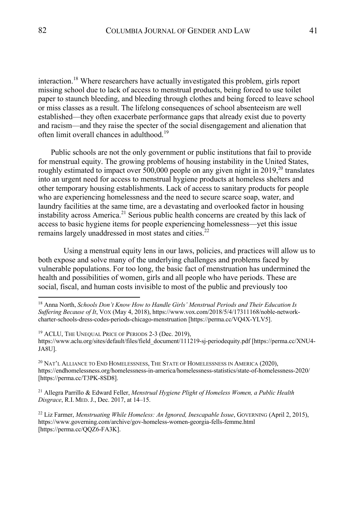interaction.<sup>18</sup> Where researchers have actually investigated this problem, girls report missing school due to lack of access to menstrual products, being forced to use toilet paper to staunch bleeding, and bleeding through clothes and being forced to leave school or miss classes as a result. The lifelong consequences of school absenteeism are well established—they often exacerbate performance gaps that already exist due to poverty and racism—and they raise the specter of the social disengagement and alienation that often limit overall chances in adulthood.<sup>19</sup>

Public schools are not the only government or public institutions that fail to provide for menstrual equity. The growing problems of housing instability in the United States, roughly estimated to impact over 500,000 people on any given night in 2019,<sup>20</sup> translates into an urgent need for access to menstrual hygiene products at homeless shelters and other temporary housing establishments. Lack of access to sanitary products for people who are experiencing homelessness and the need to secure scarce soap, water, and laundry facilities at the same time, are a devastating and overlooked factor in housing instability across America.<sup>21</sup> Serious public health concerns are created by this lack of access to basic hygiene items for people experiencing homelessness—yet this issue remains largely unaddressed in most states and cities.<sup>22</sup>

Using a menstrual equity lens in our laws, policies, and practices will allow us to both expose and solve many of the underlying challenges and problems faced by vulnerable populations. For too long, the basic fact of menstruation has undermined the health and possibilities of women, girls and all people who have periods. These are social, fiscal, and human costs invisible to most of the public and previously too

 $^{20}$  Nat'l Alliance to End Homelessness, The State of Homelessness in America (2020), https://endhomelessness.org/homelessness-in-america/homelessness-statistics/state-of-homelessness-2020/ [https://perma.cc/T3PK-8SD8].

<sup>21</sup> Allegra Parrillo & Edward Feller, *Menstrual Hygiene Plight of Homeless Women, a Public Health Disgrace*, R.I. MED.J., Dec. 2017, at 14–15.

<sup>22</sup> Liz Farmer, *Menstruating While Homeless: An Ignored, Inescapable Issue*, GOVERNING (April 2, 2015), https://www.governing.com/archive/gov-homeless-women-georgia-fells-femme.html [https://perma.cc/QQZ6-FA3K].

<sup>18</sup> Anna North, *Schools Don't Know How to Handle Girls' Menstrual Periods and Their Education Is Suffering Because of It*, VOX (May 4, 2018), https://www.vox.com/2018/5/4/17311168/noble-networkcharter-schools-dress-codes-periods-chicago-menstruation [https://perma.cc/VQ4X-YLV5].

<sup>19</sup> ACLU, THE UNEQUAL PRICE OF PERIODS 2-3 (Dec. 2019), https://www.aclu.org/sites/default/files/field\_document/111219-sj-periodequity.pdf [https://perma.cc/XNU4- JA8U].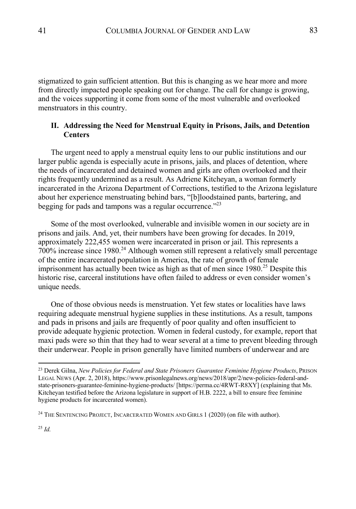stigmatized to gain sufficient attention. But this is changing as we hear more and more from directly impacted people speaking out for change. The call for change is growing, and the voices supporting it come from some of the most vulnerable and overlooked menstruators in this country.

## **II. Addressing the Need for Menstrual Equity in Prisons, Jails, and Detention Centers**

The urgent need to apply a menstrual equity lens to our public institutions and our larger public agenda is especially acute in prisons, jails, and places of detention, where the needs of incarcerated and detained women and girls are often overlooked and their rights frequently undermined as a result. As Adriene Kitcheyan, a woman formerly incarcerated in the Arizona Department of Corrections, testified to the Arizona legislature about her experience menstruating behind bars, "[b]loodstained pants, bartering, and begging for pads and tampons was a regular occurrence. $^{22}$ 

Some of the most overlooked, vulnerable and invisible women in our society are in prisons and jails. And, yet, their numbers have been growing for decades. In 2019, approximately 222,455 women were incarcerated in prison or jail. This represents a 700% increase since 1980.<sup>24</sup> Although women still represent a relatively small percentage of the entire incarcerated population in America, the rate of growth of female imprisonment has actually been twice as high as that of men since 1980.<sup>25</sup> Despite this historic rise, carceral institutions have often failed to address or even consider women's unique needs.

One of those obvious needs is menstruation. Yet few states or localities have laws requiring adequate menstrual hygiene supplies in these institutions. As a result, tampons and pads in prisons and jails are frequently of poor quality and often insufficient to provide adequate hygienic protection. Women in federal custody, for example, report that maxi pads were so thin that they had to wear several at a time to prevent bleeding through their underwear. People in prison generally have limited numbers of underwear and are

<sup>23</sup> Derek Gilna, *New Policies for Federal and State Prisoners Guarantee Feminine Hygiene Products*, PRISON LEGAL NEWS (Apr. 2, 2018), https://www.prisonlegalnews.org/news/2018/apr/2/new-policies-federal-andstate-prisoners-guarantee-feminine-hygiene-products/ [https://perma.cc/4RWT-R8XY] (explaining that Ms. Kitcheyan testified before the Arizona legislature in support of H.B. 2222, a bill to ensure free feminine hygiene products for incarcerated women).

<sup>&</sup>lt;sup>24</sup> THE SENTENCING PROJECT, INCARCERATED WOMEN AND GIRLS  $1$  (2020) (on file with author).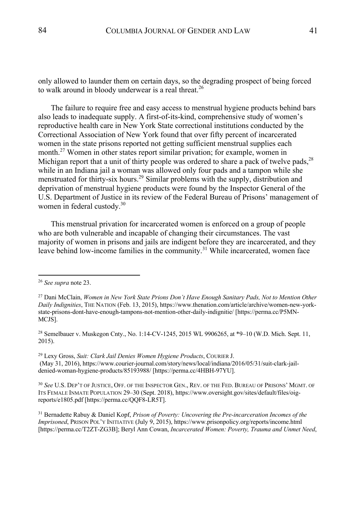only allowed to launder them on certain days, so the degrading prospect of being forced to walk around in bloody underwear is a real threat.<sup>26</sup>

The failure to require free and easy access to menstrual hygiene products behind bars also leads to inadequate supply. A first-of-its-kind, comprehensive study of women's reproductive health care in New York State correctional institutions conducted by the Correctional Association of New York found that over fifty percent of incarcerated women in the state prisons reported not getting sufficient menstrual supplies each month.<sup>27</sup> Women in other states report similar privation; for example, women in Michigan report that a unit of thirty people was ordered to share a pack of twelve pads,  $28$ while in an Indiana jail a woman was allowed only four pads and a tampon while she menstruated for thirty-six hours.29 Similar problems with the supply, distribution and deprivation of menstrual hygiene products were found by the Inspector General of the U.S. Department of Justice in its review of the Federal Bureau of Prisons' management of women in federal custody.<sup>30</sup>

This menstrual privation for incarcerated women is enforced on a group of people who are both vulnerable and incapable of changing their circumstances. The vast majority of women in prisons and jails are indigent before they are incarcerated, and they leave behind low-income families in the community.<sup>31</sup> While incarcerated, women face

<sup>31</sup> Bernadette Rabuy & Daniel Kopf, *Prison of Poverty: Uncovering the Pre-incarceration Incomes of the Imprisoned*, PRISON POL'Y INITIATIVE (July 9, 2015), https://www.prisonpolicy.org/reports/income.html [https://perma.cc/T2ZT-ZG3B]; Beryl Ann Cowan, *Incarcerated Women: Poverty, Trauma and Unmet Need*,

<sup>26</sup> *See supra* note 23.

<sup>27</sup> Dani McClain, *Women in New York State Prions Don't Have Enough Sanitary Pads, Not to Mention Other Daily Indignities*, THE NATION (Feb. 13, 2015), https://www.thenation.com/article/archive/women-new-yorkstate-prisons-dont-have-enough-tampons-not-mention-other-daily-indignitie/ [https://perma.cc/P5MN-MCJS].

<sup>28</sup> Semelbauer v. Muskegon Cnty., No. 1:14-CV-1245, 2015 WL 9906265, at \*9–10 (W.D. Mich. Sept. 11, 2015).

<sup>29</sup> Lexy Gross, *Suit: Clark Jail Denies Women Hygiene Products*, COURIER J. (May 31, 2016), https://www.courier-journal.com/story/news/local/indiana/2016/05/31/suit-clark-jaildenied-woman-hygiene-products/85193988/ [https://perma.cc/4HBH-97YU].

<sup>30</sup> *See* U.S. DEP'T OF JUSTICE, OFF. OF THE INSPECTOR GEN., REV. OF THE FED. BUREAU OF PRISONS' MGMT. OF ITS FEMALE INMATE POPULATION 29–30 (Sept. 2018), https://www.oversight.gov/sites/default/files/oigreports/e1805.pdf [https://perma.cc/QQF8-LR5T].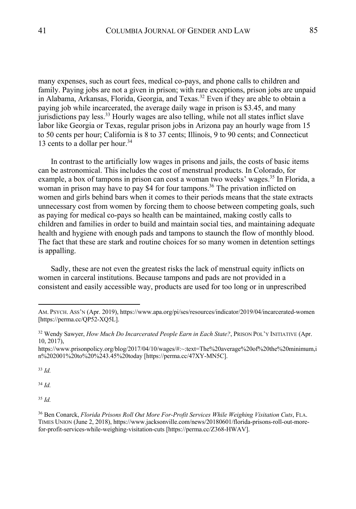many expenses, such as court fees, medical co-pays, and phone calls to children and family. Paying jobs are not a given in prison; with rare exceptions, prison jobs are unpaid in Alabama, Arkansas, Florida, Georgia, and Texas.<sup>32</sup> Even if they are able to obtain a paying job while incarcerated, the average daily wage in prison is \$3.45, and many jurisdictions pay less.<sup>33</sup> Hourly wages are also telling, while not all states inflict slave labor like Georgia or Texas, regular prison jobs in Arizona pay an hourly wage from 15 to 50 cents per hour; California is 8 to 37 cents; Illinois, 9 to 90 cents; and Connecticut 13 cents to a dollar per hour.<sup>34</sup>

In contrast to the artificially low wages in prisons and jails, the costs of basic items can be astronomical. This includes the cost of menstrual products. In Colorado, for example, a box of tampons in prison can cost a woman two weeks' wages.<sup>35</sup> In Florida, a woman in prison may have to pay \$4 for four tampons.<sup>36</sup> The privation inflicted on women and girls behind bars when it comes to their periods means that the state extracts unnecessary cost from women by forcing them to choose between competing goals, such as paying for medical co-pays so health can be maintained, making costly calls to children and families in order to build and maintain social ties, and maintaining adequate health and hygiene with enough pads and tampons to staunch the flow of monthly blood. The fact that these are stark and routine choices for so many women in detention settings is appalling.

Sadly, these are not even the greatest risks the lack of menstrual equity inflicts on women in carceral institutions. Because tampons and pads are not provided in a consistent and easily accessible way, products are used for too long or in unprescribed

<sup>33</sup> *Id.*

<sup>34</sup> *Id.*

<sup>35</sup> *Id.*

AM. PSYCH. ASS'N (Apr. 2019), https://www.apa.org/pi/ses/resources/indicator/2019/04/incarcerated-women [https://perma.cc/QP52-XQ5L].

<sup>32</sup> Wendy Sawyer, *How Much Do Incarcerated People Earn in Each State?*, PRISON POL'Y INITIATIVE (Apr. 10, 2017),

https://www.prisonpolicy.org/blog/2017/04/10/wages/#:~:text=The%20average%20of%20the%20minimum,i n%202001%20to%20%243.45%20today [https://perma.cc/47XY-MN5C].

<sup>36</sup> Ben Conarck, *Florida Prisons Roll Out More For-Profit Services While Weighing Visitation Cuts*, FLA. TIMES UNION (June 2, 2018), https://www.jacksonville.com/news/20180601/florida-prisons-roll-out-morefor-profit-services-while-weighing-visitation-cuts [https://perma.cc/Z368-HWAV].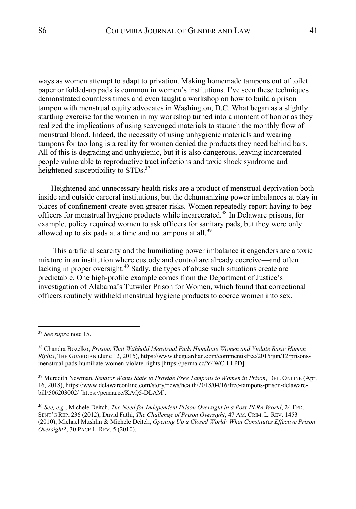ways as women attempt to adapt to privation. Making homemade tampons out of toilet paper or folded-up pads is common in women's institutions. I've seen these techniques demonstrated countless times and even taught a workshop on how to build a prison tampon with menstrual equity advocates in Washington, D.C. What began as a slightly startling exercise for the women in my workshop turned into a moment of horror as they realized the implications of using scavenged materials to staunch the monthly flow of menstrual blood. Indeed, the necessity of using unhygienic materials and wearing tampons for too long is a reality for women denied the products they need behind bars. All of this is degrading and unhygienic, but it is also dangerous, leaving incarcerated people vulnerable to reproductive tract infections and toxic shock syndrome and heightened susceptibility to STDs.<sup>37</sup>

Heightened and unnecessary health risks are a product of menstrual deprivation both inside and outside carceral institutions, but the dehumanizing power imbalances at play in places of confinement create even greater risks. Women repeatedly report having to beg officers for menstrual hygiene products while incarcerated.38 In Delaware prisons, for example, policy required women to ask officers for sanitary pads, but they were only allowed up to six pads at a time and no tampons at all.<sup>39</sup>

This artificial scarcity and the humiliating power imbalance it engenders are a toxic mixture in an institution where custody and control are already coercive—and often lacking in proper oversight.<sup>40</sup> Sadly, the types of abuse such situations create are predictable. One high-profile example comes from the Department of Justice's investigation of Alabama's Tutwiler Prison for Women, which found that correctional officers routinely withheld menstrual hygiene products to coerce women into sex.

<sup>40</sup> *See, e.g.*, Michele Deitch, *The Need for Independent Prison Oversight in a Post-PLRA World*, 24 FED. SENT'G REP. 236 (2012); David Fathi, *The Challenge of Prison Oversight*, 47 AM. CRIM. L. REV. 1453 (2010); Michael Mushlin & Michele Deitch, *Opening Up a Closed World: What Constitutes Effective Prison Oversight?*, 30 PACE L. REV. 5 (2010).

<sup>37</sup> *See supra* note 15.

<sup>38</sup> Chandra Bozelko, *Prisons That Withhold Menstrual Pads Humiliate Women and Violate Basic Human Rights*, THE GUARDIAN (June 12, 2015), https://www.theguardian.com/commentisfree/2015/jun/12/prisonsmenstrual-pads-humiliate-women-violate-rights [https://perma.cc/Y4WC-LLPD].

<sup>39</sup> Meredith Newman, *Senator Wants State to Provide Free Tampons to Women in Prison*, DEL. ONLINE (Apr. 16, 2018), https://www.delawareonline.com/story/news/health/2018/04/16/free-tampons-prison-delawarebill/506203002/ [https://perma.cc/KAQ5-DLAM].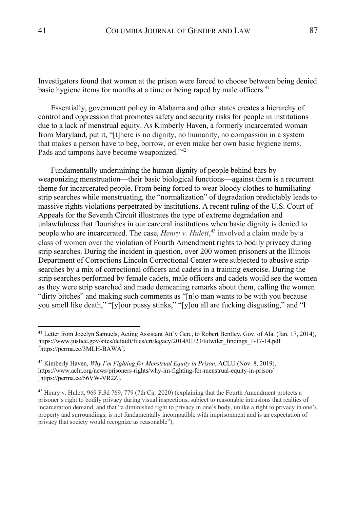Investigators found that women at the prison were forced to choose between being denied basic hygiene items for months at a time or being raped by male officers.<sup>41</sup>

Essentially, government policy in Alabama and other states creates a hierarchy of control and oppression that promotes safety and security risks for people in institutions due to a lack of menstrual equity. As Kimberly Haven, a formerly incarcerated woman from Maryland, put it, "[t]here is no dignity, no humanity, no compassion in a system that makes a person have to beg, borrow, or even make her own basic hygiene items. Pads and tampons have become weaponized."<sup>42</sup>

Fundamentally undermining the human dignity of people behind bars by weaponizing menstruation—their basic biological functions—against them is a recurrent theme for incarcerated people. From being forced to wear bloody clothes to humiliating strip searches while menstruating, the "normalization" of degradation predictably leads to massive rights violations perpetrated by institutions. A recent ruling of the U.S. Court of Appeals for the Seventh Circuit illustrates the type of extreme degradation and unlawfulness that flourishes in our carceral institutions when basic dignity is denied to people who are incarcerated. The case, *Henry v. Hulett*, <sup>43</sup> involved a claim made by a class of women over the violation of Fourth Amendment rights to bodily privacy during strip searches. During the incident in question, over 200 women prisoners at the Illinois Department of Corrections Lincoln Correctional Center were subjected to abusive strip searches by a mix of correctional officers and cadets in a training exercise. During the strip searches performed by female cadets, male officers and cadets would see the women as they were strip searched and made demeaning remarks about them, calling the women "dirty bitches" and making such comments as "[n]o man wants to be with you because you smell like death," "[y]our pussy stinks," "[y]ou all are fucking disgusting," and "I

<sup>&</sup>lt;sup>41</sup> Letter from Jocelyn Samuels, Acting Assistant Att'y Gen., to Robert Bentley, Gov. of Ala. (Jan. 17, 2014), https://www.justice.gov/sites/default/files/crt/legacy/2014/01/23/tutwiler\_findings\_1-17-14.pdf [https://perma.cc/3MLH-BAWA].

<sup>42</sup> Kimberly Haven, *Why I'm Fighting for Menstrual Equity in Prison*, ACLU (Nov. 8, 2019), https://www.aclu.org/news/prisoners-rights/why-im-fighting-for-menstrual-equity-in-prison/ [https://perma.cc/56VW-VR2Z].

<sup>43</sup> Henry v. Hulett, 969 F.3d 769, 779 (7th Cir. 2020) (explaining that the Fourth Amendment protects a prisoner's right to bodily privacy during visual inspections, subject to reasonable intrusions that realties of incarceration demand, and that "a diminished right to privacy in one's body, unlike a right to privacy in one's property and surroundings, is not fundamentally incompatible with imprisonment and is an expectation of privacy that society would recognize as reasonable").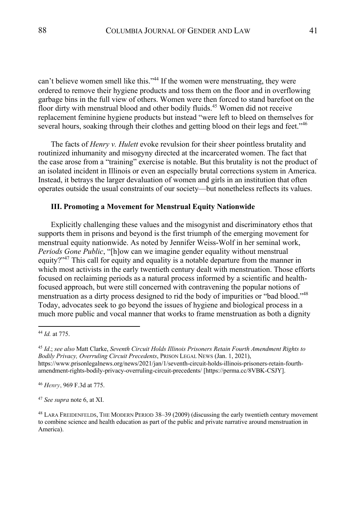can't believe women smell like this."<sup>44</sup> If the women were menstruating, they were ordered to remove their hygiene products and toss them on the floor and in overflowing garbage bins in the full view of others. Women were then forced to stand barefoot on the floor dirty with menstrual blood and other bodily fluids.<sup>45</sup> Women did not receive replacement feminine hygiene products but instead "were left to bleed on themselves for several hours, soaking through their clothes and getting blood on their legs and feet."<sup>46</sup>

The facts of *Henry v. Hulett* evoke revulsion for their sheer pointless brutality and routinized inhumanity and misogyny directed at the incarcerated women. The fact that the case arose from a "training" exercise is notable. But this brutality is not the product of an isolated incident in Illinois or even an especially brutal corrections system in America. Instead, it betrays the larger devaluation of women and girls in an institution that often operates outside the usual constraints of our society—but nonetheless reflects its values.

## **III. Promoting a Movement for Menstrual Equity Nationwide**

Explicitly challenging these values and the misogynist and discriminatory ethos that supports them in prisons and beyond is the first triumph of the emerging movement for menstrual equity nationwide. As noted by Jennifer Weiss-Wolf in her seminal work, *Periods Gone Public*, "[h]ow can we imagine gender equality without menstrual equity?"<sup>47</sup> This call for equity and equality is a notable departure from the manner in which most activists in the early twentieth century dealt with menstruation. Those efforts focused on reclaiming periods as a natural process informed by a scientific and healthfocused approach, but were still concerned with contravening the popular notions of menstruation as a dirty process designed to rid the body of impurities or "bad blood."<sup>48</sup> Today, advocates seek to go beyond the issues of hygiene and biological process in a much more public and vocal manner that works to frame menstruation as both a dignity

<sup>47</sup> *See supra* note 6, at XI.

<sup>44</sup> *Id.* at 775.

<sup>45</sup> *Id*.; *see also* Matt Clarke, *Seventh Circuit Holds Illinois Prisoners Retain Fourth Amendment Rights to Bodily Privacy, Overruling Circuit Precedents*, PRISON LEGAL NEWS (Jan. 1, 2021), https://www.prisonlegalnews.org/news/2021/jan/1/seventh-circuit-holds-illinois-prisoners-retain-fourthamendment-rights-bodily-privacy-overruling-circuit-precedents/ [https://perma.cc/8VBK-CSJY].

<sup>46</sup> *Henry*, 969 F.3d at 775.

<sup>48</sup> LARA FREIDENFELDS, THE MODERN PERIOD 38–39 (2009) (discussing the early twentieth century movement to combine science and health education as part of the public and private narrative around menstruation in America).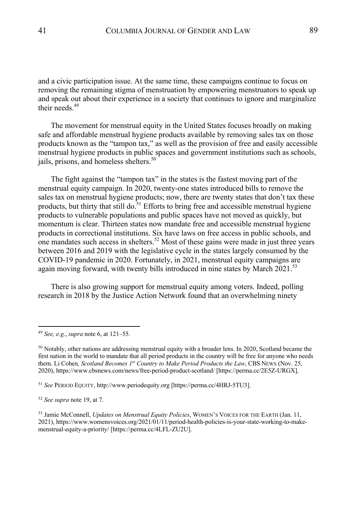and a civic participation issue. At the same time, these campaigns continue to focus on removing the remaining stigma of menstruation by empowering menstruators to speak up and speak out about their experience in a society that continues to ignore and marginalize their needs $49$ 

The movement for menstrual equity in the United States focuses broadly on making safe and affordable menstrual hygiene products available by removing sales tax on those products known as the "tampon tax," as well as the provision of free and easily accessible menstrual hygiene products in public spaces and government institutions such as schools, jails, prisons, and homeless shelters.<sup>50</sup>

The fight against the "tampon tax" in the states is the fastest moving part of the menstrual equity campaign. In 2020, twenty-one states introduced bills to remove the sales tax on menstrual hygiene products; now, there are twenty states that don't tax these products, but thirty that still do. $51$  Efforts to bring free and accessible menstrual hygiene products to vulnerable populations and public spaces have not moved as quickly, but momentum is clear. Thirteen states now mandate free and accessible menstrual hygiene products in correctional institutions. Six have laws on free access in public schools, and one mandates such access in shelters.<sup>52</sup> Most of these gains were made in just three years between 2016 and 2019 with the legislative cycle in the states largely consumed by the COVID-19 pandemic in 2020. Fortunately, in 2021, menstrual equity campaigns are again moving forward, with twenty bills introduced in nine states by March  $2021$ .<sup>53</sup>

There is also growing support for menstrual equity among voters. Indeed, polling research in 2018 by the Justice Action Network found that an overwhelming ninety

<sup>49</sup> *See, e.g.*, *supra* note 6, at 121–55.

 $50$  Notably, other nations are addressing menstrual equity with a broader lens. In 2020, Scotland became the first nation in the world to mandate that all period products in the country will be free for anyone who needs them. Li Cohen*, Scotland Becomes 1st Country to Make Period Products the Law*, CBS NEWS (Nov. 25, 2020), https://www.cbsnews.com/news/free-period-product-scotland/ [https://perma.cc/2E5Z-URGX].

<sup>51</sup> *See* PERIOD EQUITY, http://www.periodequity.org [https://perma.cc/4HRJ-5TU3].

<sup>52</sup> *See supra* note 19, at 7.

<sup>53</sup> Jamie McConnell, *Updates on Menstrual Equity Policies*, WOMEN'S VOICES FOR THE EARTH (Jan. 11, 2021), https://www.womensvoices.org/2021/01/11/period-health-policies-is-your-state-working-to-makemenstrual-equity-a-priority/ [https://perma.cc/4LFL-ZU2U].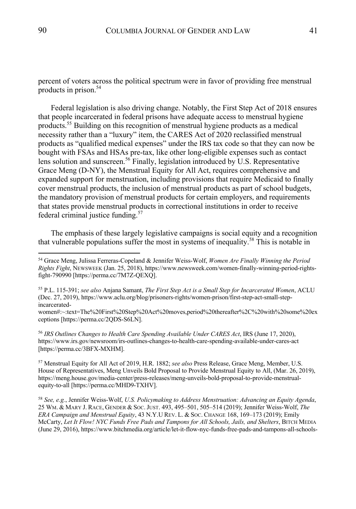percent of voters across the political spectrum were in favor of providing free menstrual products in prison.<sup>54</sup>

Federal legislation is also driving change. Notably, the First Step Act of 2018 ensures that people incarcerated in federal prisons have adequate access to menstrual hygiene products.55 Building on this recognition of menstrual hygiene products as a medical necessity rather than a "luxury" item, the CARES Act of 2020 reclassified menstrual products as "qualified medical expenses" under the IRS tax code so that they can now be bought with FSAs and HSAs pre-tax, like other long-eligible expenses such as contact lens solution and sunscreen.<sup>56</sup> Finally, legislation introduced by U.S. Representative Grace Meng (D-NY), the Menstrual Equity for All Act, requires comprehensive and expanded support for menstruation, including provisions that require Medicaid to finally cover menstrual products, the inclusion of menstrual products as part of school budgets, the mandatory provision of menstrual products for certain employers, and requirements that states provide menstrual products in correctional institutions in order to receive federal criminal justice funding.<sup>57</sup>

The emphasis of these largely legislative campaigns is social equity and a recognition that vulnerable populations suffer the most in systems of inequality.<sup>58</sup> This is notable in

<sup>56</sup> *IRS Outlines Changes to Health Care Spending Available Under CARES Act*, IRS (June 17, 2020), https://www.irs.gov/newsroom/irs-outlines-changes-to-health-care-spending-available-under-cares-act [https://perma.cc/3BFX-MXHM].

<sup>57</sup> Menstrual Equity for All Act of 2019, H.R. 1882; *see also* Press Release, Grace Meng, Member, U.S. House of Representatives, Meng Unveils Bold Proposal to Provide Menstrual Equity to All, (Mar. 26, 2019), https://meng.house.gov/media-center/press-releases/meng-unveils-bold-proposal-to-provide-menstrualequity-to-all [https://perma.cc/MHD9-TXHV].

<sup>58</sup> *See, e.g.*, Jennifer Weiss-Wolf, *U.S. Policymaking to Address Menstruation: Advancing an Equity Agenda*, 25 WM. & MARY J. RACE, GENDER & SOC.JUST. 493, 495–501, 505–514 (2019); Jennifer Weiss-Wolf, *The ERA Campaign and Menstrual Equity*, 43 N.Y.U REV. L. & SOC. CHANGE 168, 169–173 (2019); Emily McCarty, *Let It Flow! NYC Funds Free Pads and Tampons for All Schools, Jails, and Shelters*, BITCH MEDIA (June 29, 2016), https://www.bitchmedia.org/article/let-it-flow-nyc-funds-free-pads-and-tampons-all-schools-

<sup>54</sup> Grace Meng, Julissa Ferreras-Copeland & Jennifer Weiss-Wolf, *Women Are Finally Winning the Period Rights Fight*, NEWSWEEK (Jan. 25, 2018), https://www.newsweek.com/women-finally-winning-period-rightsfight-790990 [https://perma.cc/7M7Z-QEXQ].

<sup>55</sup> P.L. 115-391; *see also* Anjana Samant, *The First Step Act is a Small Step for Incarcerated Women*, ACLU (Dec. 27, 2019), https://www.aclu.org/blog/prisoners-rights/women-prison/first-step-act-small-stepincarcerated-

women#:~:text=The%20First%20Step%20Act%20moves,period%20thereafter%2C%20with%20some%20ex ceptions [https://perma.cc/2QDS-S6LN].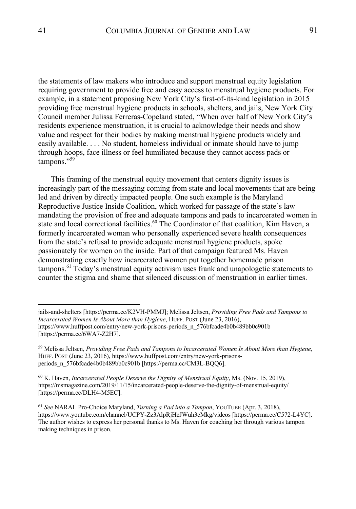the statements of law makers who introduce and support menstrual equity legislation requiring government to provide free and easy access to menstrual hygiene products. For example, in a statement proposing New York City's first-of-its-kind legislation in 2015 providing free menstrual hygiene products in schools, shelters, and jails, New York City Council member Julissa Ferreras-Copeland stated, "When over half of New York City's residents experience menstruation, it is crucial to acknowledge their needs and show value and respect for their bodies by making menstrual hygiene products widely and easily available. . . . No student, homeless individual or inmate should have to jump through hoops, face illness or feel humiliated because they cannot access pads or tampons."<sup>59</sup>

This framing of the menstrual equity movement that centers dignity issues is increasingly part of the messaging coming from state and local movements that are being led and driven by directly impacted people. One such example is the Maryland Reproductive Justice Inside Coalition, which worked for passage of the state's law mandating the provision of free and adequate tampons and pads to incarcerated women in state and local correctional facilities.<sup>60</sup> The Coordinator of that coalition, Kim Haven, a formerly incarcerated woman who personally experienced severe health consequences from the state's refusal to provide adequate menstrual hygiene products, spoke passionately for women on the inside. Part of that campaign featured Ms. Haven demonstrating exactly how incarcerated women put together homemade prison tampons.<sup>61</sup> Today's menstrual equity activism uses frank and unapologetic statements to counter the stigma and shame that silenced discussion of menstruation in earlier times.

jails-and-shelters [https://perma.cc/K2VH-PMMJ]; Melissa Jeltsen, *Providing Free Pads and Tampons to Incarcerated Women Is About More than Hygiene*, HUFF. POST (June 23, 2016), https://www.huffpost.com/entry/new-york-prisons-periods\_n\_576bfcade4b0b489bb0c901b [https://perma.cc/6WA7-Z2H7].

<sup>59</sup> Melissa Jeltsen, *Providing Free Pads and Tampons to Incarcerated Women Is About More than Hygiene*, HUFF. POST (June 23, 2016), https://www.huffpost.com/entry/new-york-prisonsperiods\_n\_576bfcade4b0b489bb0c901b [https://perma.cc/CM3L-BQQ6].

<sup>60</sup> K. Haven, *Incarcerated People Deserve the Dignity of Menstrual Equity*, MS. (Nov. 15, 2019), https://msmagazine.com/2019/11/15/incarcerated-people-deserve-the-dignity-of-menstrual-equity/ [https://perma.cc/DLH4-M5EC].

<sup>61</sup> *See* NARAL Pro-Choice Maryland, *Turning a Pad into a Tampon*, YOUTUBE (Apr. 3, 2018), https://www.youtube.com/channel/UCPY-Zz3AlpRjHcJWuh3cMkg/videos [https://perma.cc/C572-L4YC]. The author wishes to express her personal thanks to Ms. Haven for coaching her through various tampon making techniques in prison.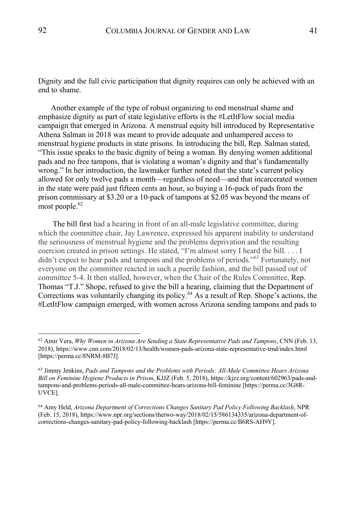Dignity and the full civic participation that dignity requires can only be achieved with an end to shame.

Another example of the type of robust organizing to end menstrual shame and emphasize dignity as part of state legislative efforts is the #LetItFlow social media campaign that emerged in Arizona. A menstrual equity bill introduced by Representative Athena Salman in 2018 was meant to provide adequate and unhampered access to menstrual hygiene products in state prisons. In introducing the bill, Rep. Salman stated, "This issue speaks to the basic dignity of being a woman. By denying women additional pads and no free tampons, that is violating a woman's dignity and that's fundamentally wrong." In her introduction, the lawmaker further noted that the state's current policy allowed for only twelve pads a month—regardless of need—and that incarcerated women in the state were paid just fifteen cents an hour, so buying a 16-pack of pads from the prison commissary at \$3.20 or a 10-pack of tampons at \$2.05 was beyond the means of most people. $62$ 

The bill first had a hearing in front of an all-male legislative committee, during which the committee chair, Jay Lawrence, expressed his apparent inability to understand the seriousness of menstrual hygiene and the problems deprivation and the resulting coercion created in prison settings. He stated, "I'm almost sorry I heard the bill. . . . I didn't expect to hear pads and tampons and the problems of periods."<sup>63</sup> Fortunately, not everyone on the committee reacted in such a puerile fashion, and the bill passed out of committee 5-4. It then stalled, however, when the Chair of the Rules Committee, Rep. Thomas "T.J." Shope, refused to give the bill a hearing, claiming that the Department of Corrections was voluntarily changing its policy.<sup>64</sup> As a result of Rep. Shope's actions, the #LetItFlow campaign emerged, with women across Arizona sending tampons and pads to

<sup>62</sup> Amir Vera, *Why Women in Arizona Are Sending a State Representative Pads and Tampons*, CNN (Feb. 13, 2018), https://www.cnn.com/2018/02/13/health/women-pads-arizona-state-representative-trnd/index.html [https://perma.cc/8NRM-8B7J].

<sup>63</sup> Jimmy Jenkins, *Pads and Tampons and the Problems with Periods: All-Male Committee Hears Arizona Bill on Feminine Hygiene Products in Prison*, KJJZ (Feb. 5, 2018), https://kjzz.org/content/602963/pads-andtampons-and-problems-periods-all-male-committee-hears-arizona-bill-feminine [https://perma.cc/3G8R-UVCE].

<sup>64</sup> Amy Held, *Arizona Department of Corrections Changes Sanitary Pad Policy Following Backlash*, NPR (Feb. 15, 2018), https://www.npr.org/sections/thetwo-way/2018/02/15/586134335/arizona-department-ofcorrections-changes-sanitary-pad-policy-following-backlash [https://perma.cc/B6RS-AH9Y].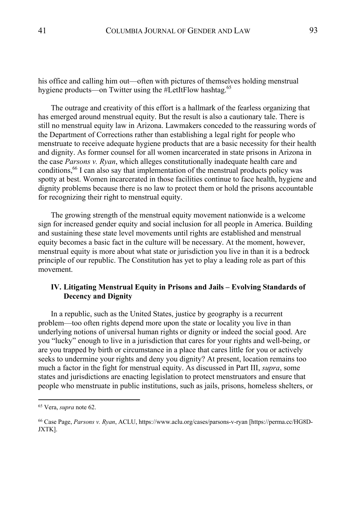his office and calling him out—often with pictures of themselves holding menstrual hygiene products—on Twitter using the #LetItFlow hashtag.<sup>65</sup>

The outrage and creativity of this effort is a hallmark of the fearless organizing that has emerged around menstrual equity. But the result is also a cautionary tale. There is still no menstrual equity law in Arizona. Lawmakers conceded to the reassuring words of the Department of Corrections rather than establishing a legal right for people who menstruate to receive adequate hygiene products that are a basic necessity for their health and dignity. As former counsel for all women incarcerated in state prisons in Arizona in the case *Parsons v. Ryan*, which alleges constitutionally inadequate health care and conditions,<sup>66</sup> I can also say that implementation of the menstrual products policy was spotty at best. Women incarcerated in those facilities continue to face health, hygiene and dignity problems because there is no law to protect them or hold the prisons accountable for recognizing their right to menstrual equity.

The growing strength of the menstrual equity movement nationwide is a welcome sign for increased gender equity and social inclusion for all people in America. Building and sustaining these state level movements until rights are established and menstrual equity becomes a basic fact in the culture will be necessary. At the moment, however, menstrual equity is more about what state or jurisdiction you live in than it is a bedrock principle of our republic. The Constitution has yet to play a leading role as part of this movement.

# **IV. Litigating Menstrual Equity in Prisons and Jails – Evolving Standards of Decency and Dignity**

In a republic, such as the United States, justice by geography is a recurrent problem—too often rights depend more upon the state or locality you live in than underlying notions of universal human rights or dignity or indeed the social good. Are you "lucky" enough to live in a jurisdiction that cares for your rights and well-being, or are you trapped by birth or circumstance in a place that cares little for you or actively seeks to undermine your rights and deny you dignity? At present, location remains too much a factor in the fight for menstrual equity. As discussed in Part III, *supra*, some states and jurisdictions are enacting legislation to protect menstruators and ensure that people who menstruate in public institutions, such as jails, prisons, homeless shelters, or

<sup>65</sup> Vera, *supra* note 62.

<sup>66</sup> Case Page, *Parsons v. Ryan*, ACLU, https://www.aclu.org/cases/parsons-v-ryan [https://perma.cc/HG8D-JXTK].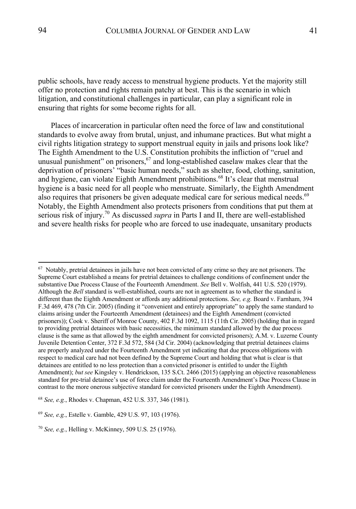public schools, have ready access to menstrual hygiene products. Yet the majority still offer no protection and rights remain patchy at best. This is the scenario in which litigation, and constitutional challenges in particular, can play a significant role in ensuring that rights for some become rights for all.

Places of incarceration in particular often need the force of law and constitutional standards to evolve away from brutal, unjust, and inhumane practices. But what might a civil rights litigation strategy to support menstrual equity in jails and prisons look like? The Eighth Amendment to the U.S. Constitution prohibits the infliction of "cruel and unusual punishment" on prisoners,  $67$  and long-established caselaw makes clear that the deprivation of prisoners' "basic human needs," such as shelter, food, clothing, sanitation, and hygiene, can violate Eighth Amendment prohibitions.<sup>68</sup> It's clear that menstrual hygiene is a basic need for all people who menstruate. Similarly, the Eighth Amendment also requires that prisoners be given adequate medical care for serious medical needs.<sup>69</sup> Notably, the Eighth Amendment also protects prisoners from conditions that put them at serious risk of injury.<sup>70</sup> As discussed *supra* in Parts I and II, there are well-established and severe health risks for people who are forced to use inadequate, unsanitary products

 $67$  Notably, pretrial detainees in jails have not been convicted of any crime so they are not prisoners. The Supreme Court established a means for pretrial detainees to challenge conditions of confinement under the substantive Due Process Clause of the Fourteenth Amendment. *See* Bell v. Wolfish, 441 U.S. 520 (1979). Although the *Bell* standard is well-established, courts are not in agreement as to whether the standard is different than the Eighth Amendment or affords any additional protections. *See, e.g.* Board v. Farnham, 394 F.3d 469, 478 (7th Cir. 2005) (finding it "convenient and entirely appropriate" to apply the same standard to claims arising under the Fourteenth Amendment (detainees) and the Eighth Amendment (convicted prisoners)); Cook v. Sheriff of Monroe County, 402 F.3d 1092, 1115 (11th Cir. 2005) (holding that in regard to providing pretrial detainees with basic necessities, the minimum standard allowed by the due process clause is the same as that allowed by the eighth amendment for convicted prisoners); A.M. v. Luzerne County Juvenile Detention Center, 372 F.3d 572, 584 (3d Cir. 2004) (acknowledging that pretrial detainees claims are properly analyzed under the Fourteenth Amendment yet indicating that due process obligations with respect to medical care had not been defined by the Supreme Court and holding that what is clear is that detainees are entitled to no less protection than a convicted prisoner is entitled to under the Eighth Amendment); *but see* Kingsley v. Hendrickson, 135 S.Ct. 2466 (2015) (applying an objective reasonableness standard for pre-trial detainee's use of force claim under the Fourteenth Amendment's Due Process Clause in contrast to the more onerous subjective standard for convicted prisoners under the Eighth Amendment).

<sup>68</sup> *See, e.g.*, Rhodes v. Chapman, 452 U.S. 337, 346 (1981).

<sup>69</sup> *See, e.g.*, Estelle v. Gamble, 429 U.S. 97, 103 (1976).

<sup>70</sup> *See, e.g.*, Helling v. McKinney, 509 U.S. 25 (1976).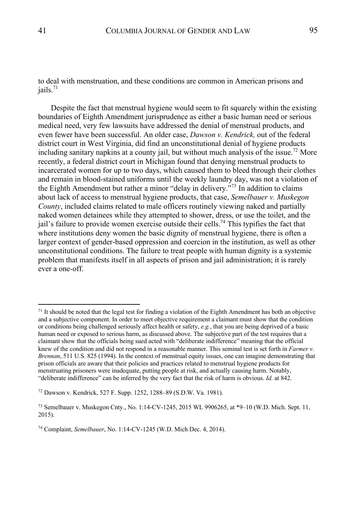to deal with menstruation, and these conditions are common in American prisons and  $i$ ails.<sup>71</sup>

Despite the fact that menstrual hygiene would seem to fit squarely within the existing boundaries of Eighth Amendment jurisprudence as either a basic human need or serious medical need, very few lawsuits have addressed the denial of menstrual products, and even fewer have been successful. An older case, *Dawson v. Kendrick,* out of the federal district court in West Virginia, did find an unconstitutional denial of hygiene products including sanitary napkins at a county jail, but without much analysis of the issue.<sup>72</sup> More recently, a federal district court in Michigan found that denying menstrual products to incarcerated women for up to two days, which caused them to bleed through their clothes and remain in blood-stained uniforms until the weekly laundry day, was not a violation of the Eighth Amendment but rather a minor "delay in delivery."<sup>73</sup> In addition to claims about lack of access to menstrual hygiene products, that case, *Semelbauer v. Muskegon County*, included claims related to male officers routinely viewing naked and partially naked women detainees while they attempted to shower, dress, or use the toilet, and the jail's failure to provide women exercise outside their cells.<sup>74</sup> This typifies the fact that where institutions deny women the basic dignity of menstrual hygiene, there is often a larger context of gender-based oppression and coercion in the institution, as well as other unconstitutional conditions. The failure to treat people with human dignity is a systemic problem that manifests itself in all aspects of prison and jail administration; it is rarely ever a one-off.

 $71$  It should be noted that the legal test for finding a violation of the Eighth Amendment has both an objective and a subjective component. In order to meet objective requirement a claimant must show that the condition or conditions being challenged seriously affect health or safety, *e.g.*, that you are being deprived of a basic human need or exposed to serious harm, as discussed above. The subjective part of the test requires that a claimant show that the officials being sued acted with "deliberate indifference" meaning that the official knew of the condition and did not respond in a reasonable manner. This seminal test is set forth in *Farmer v. Brennan*, 511 U.S. 825 (1994). In the context of menstrual equity issues, one can imagine demonstrating that prison officials are aware that their policies and practices related to menstrual hygiene products for menstruating prisoners were inadequate, putting people at risk, and actually causing harm. Notably, "deliberate indifference" can be inferred by the very fact that the risk of harm is obvious. *Id.* at 842.

<sup>72</sup> Dawson v. Kendrick, 527 F. Supp. 1252, 1288–89 (S.D.W. Va. 1981).

<sup>&</sup>lt;sup>73</sup> Semelbauer v. Muskegon Cnty., No. 1:14-CV-1245, 2015 WL 9906265, at  $*9-10$  (W.D. Mich. Sept. 11, 2015).

<sup>74</sup> Complaint, *Semelbauer*, No. 1:14-CV-1245 (W.D. Mich Dec. 4, 2014).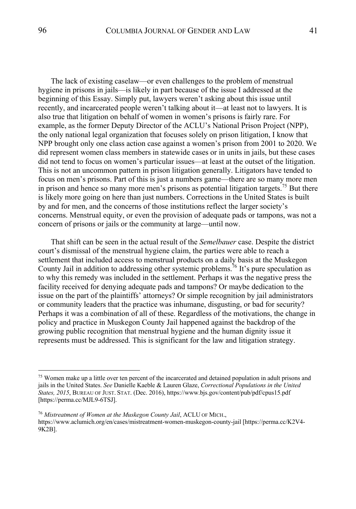The lack of existing caselaw—or even challenges to the problem of menstrual hygiene in prisons in jails—is likely in part because of the issue I addressed at the beginning of this Essay. Simply put, lawyers weren't asking about this issue until recently, and incarcerated people weren't talking about it—at least not to lawyers. It is also true that litigation on behalf of women in women's prisons is fairly rare. For example, as the former Deputy Director of the ACLU's National Prison Project (NPP), the only national legal organization that focuses solely on prison litigation, I know that NPP brought only one class action case against a women's prison from 2001 to 2020. We did represent women class members in statewide cases or in units in jails, but these cases did not tend to focus on women's particular issues—at least at the outset of the litigation. This is not an uncommon pattern in prison litigation generally. Litigators have tended to focus on men's prisons. Part of this is just a numbers game—there are so many more men in prison and hence so many more men's prisons as potential litigation targets.<sup>75</sup> But there is likely more going on here than just numbers. Corrections in the United States is built by and for men, and the concerns of those institutions reflect the larger society's concerns. Menstrual equity, or even the provision of adequate pads or tampons, was not a concern of prisons or jails or the community at large—until now.

That shift can be seen in the actual result of the *Semelbauer* case. Despite the district court's dismissal of the menstrual hygiene claim, the parties were able to reach a settlement that included access to menstrual products on a daily basis at the Muskegon County Jail in addition to addressing other systemic problems.<sup>76</sup> It's pure speculation as to why this remedy was included in the settlement. Perhaps it was the negative press the facility received for denying adequate pads and tampons? Or maybe dedication to the issue on the part of the plaintiffs' attorneys? Or simple recognition by jail administrators or community leaders that the practice was inhumane, disgusting, or bad for security? Perhaps it was a combination of all of these. Regardless of the motivations, the change in policy and practice in Muskegon County Jail happened against the backdrop of the growing public recognition that menstrual hygiene and the human dignity issue it represents must be addressed. This is significant for the law and litigation strategy.

<sup>&</sup>lt;sup>75</sup> Women make up a little over ten percent of the incarcerated and detained population in adult prisons and jails in the United States. *See* Danielle Kaeble & Lauren Glaze, *Correctional Populations in the United States, 2015*, BUREAU OF JUST. STAT. (Dec. 2016), https://www.bjs.gov/content/pub/pdf/cpus15.pdf [https://perma.cc/MJL9-6TSJ].

<sup>76</sup> *Mistreatment of Women at the Muskegon County Jail*, ACLU OF MICH., https://www.aclumich.org/en/cases/mistreatment-women-muskegon-county-jail [https://perma.cc/K2V4- 9K2B].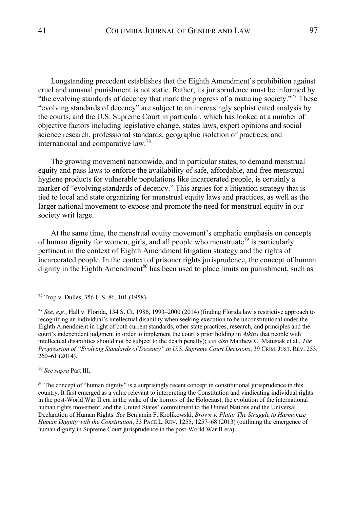Longstanding precedent establishes that the Eighth Amendment's prohibition against cruel and unusual punishment is not static. Rather, its jurisprudence must be informed by "the evolving standards of decency that mark the progress of a maturing society."<sup>77</sup> These "evolving standards of decency" are subject to an increasingly sophisticated analysis by the courts, and the U.S. Supreme Court in particular, which has looked at a number of objective factors including legislative change, states laws, expert opinions and social science research, professional standards, geographic isolation of practices, and international and comparative law.<sup>78</sup>

The growing movement nationwide, and in particular states, to demand menstrual equity and pass laws to enforce the availability of safe, affordable, and free menstrual hygiene products for vulnerable populations like incarcerated people, is certainly a marker of "evolving standards of decency." This argues for a litigation strategy that is tied to local and state organizing for menstrual equity laws and practices, as well as the larger national movement to expose and promote the need for menstrual equity in our society writ large.

At the same time, the menstrual equity movement's emphatic emphasis on concepts of human dignity for women, girls, and all people who menstruate<sup>79</sup> is particularly pertinent in the context of Eighth Amendment litigation strategy and the rights of incarcerated people. In the context of prisoner rights jurisprudence, the concept of human dignity in the Eighth Amendment<sup>80</sup> has been used to place limits on punishment, such as

<sup>79</sup> *See supra* Part III.

<sup>80</sup> The concept of "human dignity" is a surprisingly recent concept in constitutional jurisprudence in this country. It first emerged as a value relevant to interpreting the Constitution and vindicating individual rights in the post-World War II era in the wake of the horrors of the Holocaust, the evolution of the international human rights movement, and the United States' commitment to the United Nations and the Universal Declaration of Human Rights. *See* Benjamin F. Krolikowski, *Brown v. Plata: The Struggle to Harmonize Human Dignity with the Constitution*, 33 PACE L. REV. 1255, 1257–68 (2013) (outlining the emergence of human dignity in Supreme Court jurisprudence in the post-World War II era).

<sup>77</sup> Trop v. Dulles, 356 U.S. 86, 101 (1958).

<sup>78</sup> *See, e.g.*, Hall v. Florida, 134 S. Ct. 1986, 1993–2000 (2014) (finding Florida law's restrictive approach to recognizing an individual's intellectual disability when seeking execution to be unconstitutional under the Eighth Amendment in light of both current standards, other state practices, research, and principles and the court's independent judgment in order to implement the court's prior holding in *Atkins* that people with intellectual disabilities should not be subject to the death penalty); *see also* Matthew C. Matusiak et al., *The Progression of "Evolving Standards of Decency" in U.S. Supreme Court Decisions*, 39 CRIM.JUST. REV. 253, 260–61 (2014).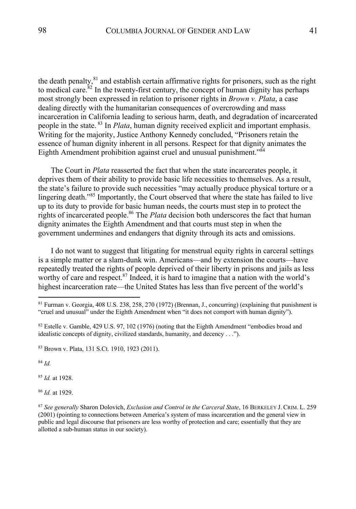the death penalty, ${}^{81}$  and establish certain affirmative rights for prisoners, such as the right to medical care. $82$  In the twenty-first century, the concept of human dignity has perhaps most strongly been expressed in relation to prisoner rights in *Brown v. Plata*, a case dealing directly with the humanitarian consequences of overcrowding and mass incarceration in California leading to serious harm, death, and degradation of incarcerated people in the state. <sup>83</sup> In *Plata*, human dignity received explicit and important emphasis. Writing for the majority, Justice Anthony Kennedy concluded, "Prisoners retain the essence of human dignity inherent in all persons. Respect for that dignity animates the Eighth Amendment prohibition against cruel and unusual punishment."<sup>84</sup>

The Court in *Plata* reasserted the fact that when the state incarcerates people, it deprives them of their ability to provide basic life necessities to themselves. As a result, the state's failure to provide such necessities "may actually produce physical torture or a lingering death."<sup>85</sup> Importantly, the Court observed that where the state has failed to live up to its duty to provide for basic human needs, the courts must step in to protect the rights of incarcerated people.<sup>86</sup> The *Plata* decision both underscores the fact that human dignity animates the Eighth Amendment and that courts must step in when the government undermines and endangers that dignity through its acts and omissions.

I do not want to suggest that litigating for menstrual equity rights in carceral settings is a simple matter or a slam-dunk win. Americans—and by extension the courts—have repeatedly treated the rights of people deprived of their liberty in prisons and jails as less worthy of care and respect.<sup>87</sup> Indeed, it is hard to imagine that a nation with the world's highest incarceration rate—the United States has less than five percent of the world's

<sup>84</sup> *Id.*

<sup>85</sup> *Id.* at 1928.

<sup>86</sup> *Id.* at 1929.

<sup>81</sup> Furman v. Georgia, 408 U.S. 238, 258, 270 (1972) (Brennan, J., concurring) (explaining that punishment is "cruel and unusual" under the Eighth Amendment when "it does not comport with human dignity").

 $82$  Estelle v. Gamble, 429 U.S. 97, 102 (1976) (noting that the Eighth Amendment "embodies broad and idealistic concepts of dignity, civilized standards, humanity, and decency . . .").

<sup>83</sup> Brown v. Plata, 131 S.Ct. 1910, 1923 (2011).

<sup>87</sup> *See generally* Sharon Dolovich, *Exclusion and Control in the Carceral State*, 16 BERKELEY J. CRIM. L. 259 (2001) (pointing to connections between America's system of mass incarceration and the general view in public and legal discourse that prisoners are less worthy of protection and care; essentially that they are allotted a sub-human status in our society).